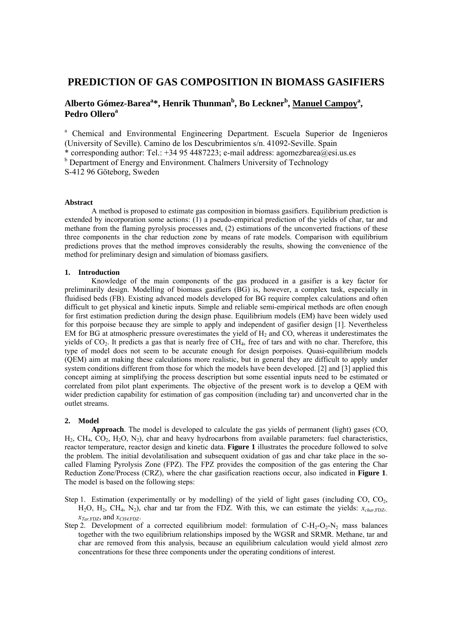## **PREDICTION OF GAS COMPOSITION IN BIOMASS GASIFIERS**

# Alberto Gómez-Barea<sup>a</sup>\*, Henrik Thunman<sup>b</sup>, Bo Leckner<sup>b</sup>, <u>Manuel Campoy</u><sup>a</sup>, **Pedro Ollero<sup>a</sup>**

<sup>a</sup> Chemical and Environmental Engineering Department. Escuela Superior de Ingenieros (University of Seville). Camino de los Descubrimientos s/n. 41092-Seville. Spain \* corresponding author: Tel.: +34 95 4487223; e-mail address: agomezbarea@esi.us.es <sup>b</sup> Department of Energy and Environment. Chalmers University of Technology S-412 96 Göteborg, Sweden

## **Abstract**

 A method is proposed to estimate gas composition in biomass gasifiers. Equilibrium prediction is extended by incorporation some actions: (1) a pseudo-empirical prediction of the yields of char, tar and methane from the flaming pyrolysis processes and, (2) estimations of the unconverted fractions of these three components in the char reduction zone by means of rate models. Comparison with equilibrium predictions proves that the method improves considerably the results, showing the convenience of the method for preliminary design and simulation of biomass gasifiers.

### **1. Introduction**

 Knowledge of the main components of the gas produced in a gasifier is a key factor for preliminarily design. Modelling of biomass gasifiers (BG) is, however, a complex task, especially in fluidised beds (FB). Existing advanced models developed for BG require complex calculations and often difficult to get physical and kinetic inputs. Simple and reliable semi-empirical methods are often enough for first estimation prediction during the design phase. Equilibrium models (EM) have been widely used for this porpoise because they are simple to apply and independent of gasifier design [1]. Nevertheless EM for BG at atmospheric pressure overestimates the yield of  $H_2$  and CO, whereas it underestimates the yields of CO<sub>2</sub>. It predicts a gas that is nearly free of CH<sub>4</sub>, free of tars and with no char. Therefore, this type of model does not seem to be accurate enough for design porpoises. Quasi-equilibrium models (QEM) aim at making these calculations more realistic, but in general they are difficult to apply under system conditions different from those for which the models have been developed. [2] and [3] applied this concept aiming at simplifying the process description but some essential inputs need to be estimated or correlated from pilot plant experiments. The objective of the present work is to develop a QEM with wider prediction capability for estimation of gas composition (including tar) and unconverted char in the outlet streams.

## **2. Model**

 **Approach**. The model is developed to calculate the gas yields of permanent (light) gases (CO,  $H_2$ , CH<sub>4</sub>, CO<sub>2</sub>, H<sub>2</sub>O, N<sub>2</sub>), char and heavy hydrocarbons from available parameters: fuel characteristics, reactor temperature, reactor design and kinetic data. **Figure 1** illustrates the procedure followed to solve the problem. The initial devolatilisation and subsequent oxidation of gas and char take place in the socalled Flaming Pyrolysis Zone (FPZ). The FPZ provides the composition of the gas entering the Char Reduction Zone/Process (CRZ), where the char gasification reactions occur, also indicated in **Figure 1**. The model is based on the following steps:

- Step 1. Estimation (experimentally or by modelling) of the yield of light gases (including CO, CO<sub>2</sub>,  $H_2O$ ,  $H_2$ ,  $CH_4$ ,  $N_2$ ), char and tar from the FDZ. With this, we can estimate the yields:  $x_{char}$ , FDZ*, xTar,*FDZ, and *xCH4,*FDZ.
- Step 2. Development of a corrected equilibrium model: formulation of  $C-H_2-O_2-N_2$  mass balances together with the two equilibrium relationships imposed by the WGSR and SRMR. Methane, tar and char are removed from this analysis, because an equilibrium calculation would yield almost zero concentrations for these three components under the operating conditions of interest.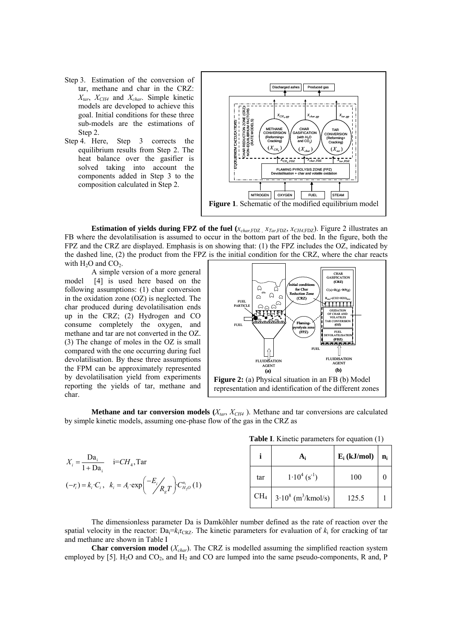- Step 3. Estimation of the conversion of tar, methane and char in the CRZ:  $X_{tar}$ ,  $X_{CH4}$  and  $X_{char}$ . Simple kinetic models are developed to achieve this goal. Initial conditions for these three sub-models are the estimations of Step 2.
- Step 4. Here, Step 3 corrects the equilibrium results from Step 2. The heat balance over the gasifier is solved taking into account the components added in Step 3 to the composition calculated in Step 2.



**Estimation of yields during FPZ of the fuel (** $x_{char,FDZ}$ **,**  $x_{Tar,FDZ}$ **,**  $x_{CH4,FDZ}$ **). Figure 2 illustrates an** FB where the devolatilisation is assumed to occur in the bottom part of the bed. In the figure, both the FPZ and the CRZ are displayed. Emphasis is on showing that: (1) the FPZ includes the OZ, indicated by the dashed line, (2) the product from the FPZ is the initial condition for the CRZ, where the char reacts with  $H_2O$  and  $CO_2$ .

 A simple version of a more general model [4] is used here based on the following assumptions: (1) char conversion in the oxidation zone (OZ) is neglected. The char produced during devolatilisation ends up in the CRZ; (2) Hydrogen and CO consume completely the oxygen, and methane and tar are not converted in the OZ. (3) The change of moles in the OZ is small compared with the one occurring during fuel devolatilisation. By these three assumptions the FPM can be approximately represented by devolatilisation yield from experiments reporting the yields of tar, methane and char.



**Methane and tar conversion models**  $(X_{tar}, X_{CH4})$ . Methane and tar conversions are calculated by simple kinetic models, assuming one-phase flow of the gas in the CRZ as

|  |  | <b>Table I</b> . Kinetic parameters for equation (1) |  |  |  |  |
|--|--|------------------------------------------------------|--|--|--|--|
|--|--|------------------------------------------------------|--|--|--|--|

| $X_i = \frac{\text{Da}_i}{1 + \text{Da}_i}$ i=CH <sub>4</sub> , Tar |                                                                                                      |
|---------------------------------------------------------------------|------------------------------------------------------------------------------------------------------|
|                                                                     | $(-r_i) = k_i \cdot C_i, \ \ k_i = A_i \cdot \exp\left(\frac{-E_i}{R_g T}\right) C_{H_2O}^{n_i} (1)$ |

|                 | $A_i$                             | $E_i$ (kJ/mol) | $n_i$ |
|-----------------|-----------------------------------|----------------|-------|
| tar             | $1.10^{4} (s^{-1})$               | 100            |       |
| CH <sub>4</sub> | $3.10^8$ (m <sup>3</sup> /kmol/s) | 125.5          |       |

 The dimensionless parameter Da is Damköhler number defined as the rate of reaction over the spatial velocity in the reactor:  $Da_i=k_i\tau_{CRZ}$ . The kinetic parameters for evaluation of  $k_i$  for cracking of tar and methane are shown in Table I

 **Char conversion model** (*Xchar*). The CRZ is modelled assuming the simplified reaction system employed by  $[5]$ . H<sub>2</sub>O and CO<sub>2</sub>, and H<sub>2</sub> and CO are lumped into the same pseudo-components, R and, P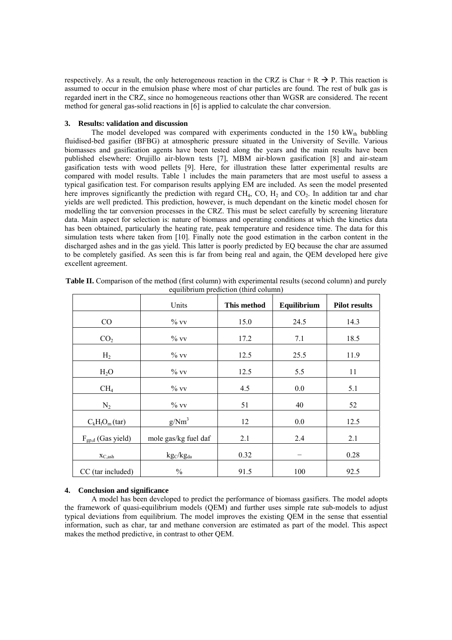respectively. As a result, the only heterogeneous reaction in the CRZ is Char + R  $\rightarrow$  P. This reaction is assumed to occur in the emulsion phase where most of char particles are found. The rest of bulk gas is regarded inert in the CRZ, since no homogeneous reactions other than WGSR are considered. The recent method for general gas-solid reactions in [6] is applied to calculate the char conversion.

## **3. Results: validation and discussion**

The model developed was compared with experiments conducted in the  $150 \text{ kW}_{\text{th}}$  bubbling fluidised-bed gasifier (BFBG) at atmospheric pressure situated in the University of Seville. Various biomasses and gasification agents have been tested along the years and the main results have been published elsewhere: Orujillo air-blown tests [7], MBM air-blown gasification [8] and air-steam gasification tests with wood pellets [9]. Here, for illustration these latter experimental results are compared with model results. Table 1 includes the main parameters that are most useful to assess a typical gasification test. For comparison results applying EM are included. As seen the model presented here improves significantly the prediction with regard  $CH_4$ , CO,  $H_2$  and CO<sub>2</sub>. In addition tar and char yields are well predicted. This prediction, however, is much dependant on the kinetic model chosen for modelling the tar conversion processes in the CRZ. This must be select carefully by screening literature data. Main aspect for selection is: nature of biomass and operating conditions at which the kinetics data has been obtained, particularly the heating rate, peak temperature and residence time. The data for this simulation tests where taken from [10]. Finally note the good estimation in the carbon content in the discharged ashes and in the gas yield. This latter is poorly predicted by EQ because the char are assumed to be completely gasified. As seen this is far from being real and again, the QEM developed here give excellent agreement.

|                        | Units                | This method | Equilibrium | <b>Pilot results</b> |
|------------------------|----------------------|-------------|-------------|----------------------|
| CO                     | $\%$ vv              | 15.0        | 24.5        | 14.3                 |
| CO <sub>2</sub>        | $\%$ vv              | 17.2        | 7.1         | 18.5                 |
| H <sub>2</sub>         | $\%$ vv              | 12.5        | 25.5        | 11.9                 |
| H <sub>2</sub> O       | $\%$ vv              | 12.5        | 5.5         | 11                   |
| CH <sub>4</sub>        | $\%$ vv              | 4.5         | 0.0         | 5.1                  |
| $N_2$                  | $\%$ vv              | 51          | 40          | 52                   |
| $C_kH_1O_m(tar)$       | $g/Nm^3$             | 12          | 0.0         | 12.5                 |
| $F_{gp,d}$ (Gas yield) | mole gas/kg fuel daf | 2.1         | 2.4         | 2.1                  |
| $X_{C,ash}$            | $kg_C/kg_{da}$       | 0.32        |             | 0.28                 |
| CC (tar included)      | $\frac{0}{0}$        | 91.5        | 100         | 92.5                 |

**Table II.** Comparison of the method (first column) with experimental results (second column) and purely equilibrium prediction (third column)

## **4. Conclusion and significance**

 A model has been developed to predict the performance of biomass gasifiers. The model adopts the framework of quasi-equilibrium models (QEM) and further uses simple rate sub-models to adjust typical deviations from equilibrium. The model improves the existing QEM in the sense that essential information, such as char, tar and methane conversion are estimated as part of the model. This aspect makes the method predictive, in contrast to other QEM.